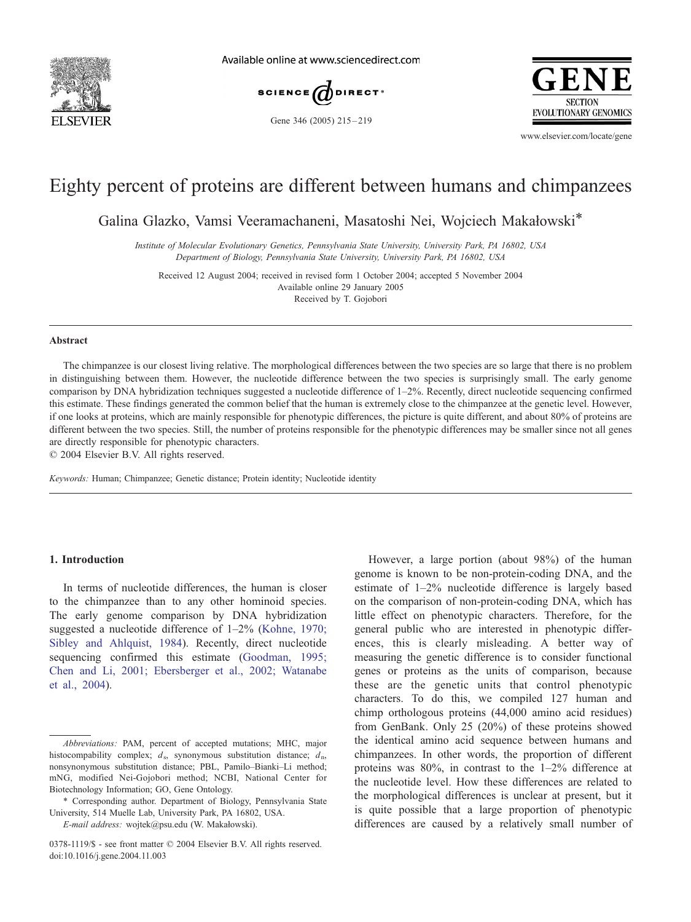

Available online at www.sciencedirect.com





Gene 346 (2005) 215-219

www.elsevier.com/locate/gene

# Eighty percent of proteins are different between humans and chimpanzees

Galina Glazko, Vamsi Veeramachaneni, Masatoshi Nei, Wojciech Makałowski\*

Institute of Molecular Evolutionary Genetics, Pennsylvania State University, University Park, PA 16802, USA Department of Biology, Pennsylvania State University, University Park, PA 16802, USA

Received 12 August 2004; received in revised form 1 October 2004; accepted 5 November 2004 Available online 29 January 2005

Received by T. Gojobori

#### Abstract

The chimpanzee is our closest living relative. The morphological differences between the two species are so large that there is no problem in distinguishing between them. However, the nucleotide difference between the two species is surprisingly small. The early genome comparison by DNA hybridization techniques suggested a nucleotide difference of 1–2%. Recently, direct nucleotide sequencing confirmed this estimate. These findings generated the common belief that the human is extremely close to the chimpanzee at the genetic level. However, if one looks at proteins, which are mainly responsible for phenotypic differences, the picture is quite different, and about 80% of proteins are different between the two species. Still, the number of proteins responsible for the phenotypic differences may be smaller since not all genes are directly responsible for phenotypic characters.

 $© 2004 Elsevier B.V. All rights reserved.$ 

Keywords: Human; Chimpanzee; Genetic distance; Protein identity; Nucleotide identity

#### 1. Introduction

In terms of nucleotide differences, the human is closer to the chimpanzee than to any other hominoid species. The early genome comparison by DNA hybridization suggested a nucleotide difference of 1–2% ([Kohne, 1970;](#page-4-0) Sibley and Ahlquist, 1984). Recently, direct nucleotide sequencing confirmed this estimate ([Goodman, 1995;](#page-4-0) Chen and Li, 2001; Ebersberger et al., 2002; Watanabe et al., 2004).

E-mail address: wojtek@psu.edu (W. Makałowski).

However, a large portion (about 98%) of the human genome is known to be non-protein-coding DNA, and the estimate of 1–2% nucleotide difference is largely based on the comparison of non-protein-coding DNA, which has little effect on phenotypic characters. Therefore, for the general public who are interested in phenotypic differences, this is clearly misleading. A better way of measuring the genetic difference is to consider functional genes or proteins as the units of comparison, because these are the genetic units that control phenotypic characters. To do this, we compiled 127 human and chimp orthologous proteins (44,000 amino acid residues) from GenBank. Only 25 (20%) of these proteins showed the identical amino acid sequence between humans and chimpanzees. In other words, the proportion of different proteins was 80%, in contrast to the 1–2% difference at the nucleotide level. How these differences are related to the morphological differences is unclear at present, but it is quite possible that a large proportion of phenotypic differences are caused by a relatively small number of

Abbreviations: PAM, percent of accepted mutations; MHC, major histocompability complex;  $d_s$ , synonymous substitution distance;  $d_n$ , nonsynonymous substitution distance; PBL, Pamilo–Bianki–Li method; mNG, modified Nei-Gojobori method; NCBI, National Center for Biotechnology Information; GO, Gene Ontology.

<sup>\*</sup> Corresponding author. Department of Biology, Pennsylvania State University, 514 Muelle Lab, University Park, PA 16802, USA.

<sup>0378-1119/\$ -</sup> see front matter © 2004 Elsevier B.V. All rights reserved. doi:10.1016/j.gene.2004.11.003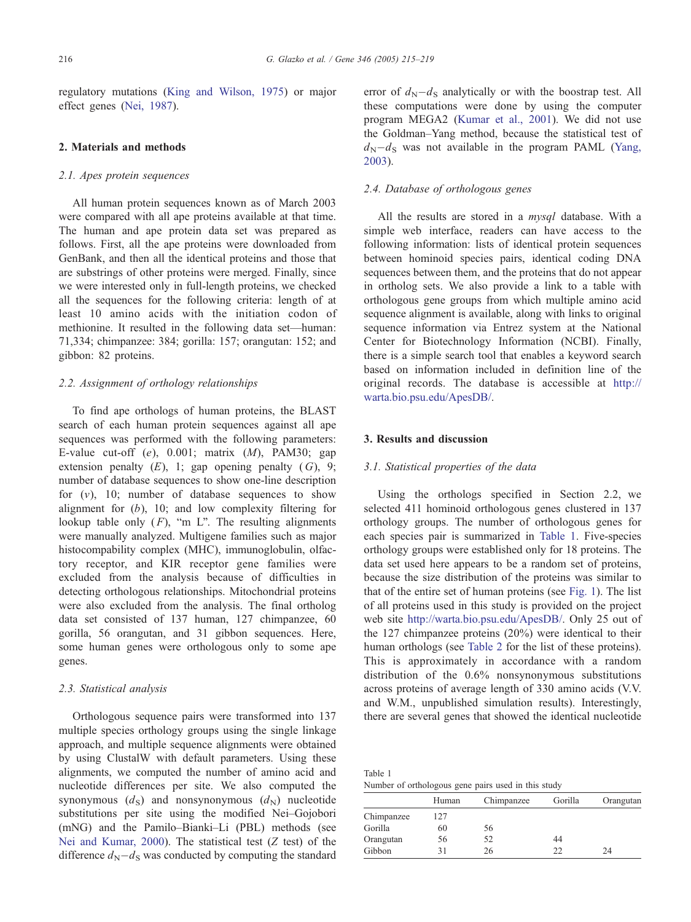regulatory mutations ([King and Wilson, 1975\)](#page-4-0) or major effect genes ([Nei, 1987\)](#page-4-0).

## 2. Materials and methods

## 2.1. Apes protein sequences

All human protein sequences known as of March 2003 were compared with all ape proteins available at that time. The human and ape protein data set was prepared as follows. First, all the ape proteins were downloaded from GenBank, and then all the identical proteins and those that are substrings of other proteins were merged. Finally, since we were interested only in full-length proteins, we checked all the sequences for the following criteria: length of at least 10 amino acids with the initiation codon of methionine. It resulted in the following data set—human: 71,334; chimpanzee: 384; gorilla: 157; orangutan: 152; and gibbon: 82 proteins.

## 2.2. Assignment of orthology relationships

To find ape orthologs of human proteins, the BLAST search of each human protein sequences against all ape sequences was performed with the following parameters: E-value cut-off  $(e)$ , 0.001; matrix  $(M)$ , PAM30; gap extension penalty  $(E)$ , 1; gap opening penalty  $(G)$ , 9; number of database sequences to show one-line description for  $(v)$ , 10; number of database sequences to show alignment for (b), 10; and low complexity filtering for lookup table only  $(F)$ , "m L". The resulting alignments were manually analyzed. Multigene families such as major histocompability complex (MHC), immunoglobulin, olfactory receptor, and KIR receptor gene families were excluded from the analysis because of difficulties in detecting orthologous relationships. Mitochondrial proteins were also excluded from the analysis. The final ortholog data set consisted of 137 human, 127 chimpanzee, 60 gorilla, 56 orangutan, and 31 gibbon sequences. Here, some human genes were orthologous only to some ape genes.

## 2.3. Statistical analysis

Orthologous sequence pairs were transformed into 137 multiple species orthology groups using the single linkage approach, and multiple sequence alignments were obtained by using ClustalW with default parameters. Using these alignments, we computed the number of amino acid and nucleotide differences per site. We also computed the synonymous  $(d_S)$  and nonsynonymous  $(d_N)$  nucleotide substitutions per site using the modified Nei–Gojobori (mNG) and the Pamilo–Bianki–Li (PBL) methods (see [Nei and Kumar, 2000\)](#page-4-0). The statistical test (Z test) of the difference  $d_N - d_S$  was conducted by computing the standard error of  $d_N - d_S$  analytically or with the boostrap test. All these computations were done by using the computer program MEGA2 ([Kumar et al., 2001\)](#page-4-0). We did not use the Goldman–Yang method, because the statistical test of  $d_N - d_S$  was not available in the program PAML ([Yang,](#page-4-0) 2003).

## 2.4. Database of orthologous genes

All the results are stored in a *mysql* database. With a simple web interface, readers can have access to the following information: lists of identical protein sequences between hominoid species pairs, identical coding DNA sequences between them, and the proteins that do not appear in ortholog sets. We also provide a link to a table with orthologous gene groups from which multiple amino acid sequence alignment is available, along with links to original sequence information via Entrez system at the National Center for Biotechnology Information (NCBI). Finally, there is a simple search tool that enables a keyword search based on information included in definition line of the original records. The database is accessible at [http://](http://warta.bio.psu.edu/ApesDB/) warta.bio.psu.edu/ApesDB/.

## 3. Results and discussion

#### 3.1. Statistical properties of the data

Using the orthologs specified in Section 2.2, we selected 411 hominoid orthologous genes clustered in 137 orthology groups. The number of orthologous genes for each species pair is summarized in Table 1. Five-species orthology groups were established only for 18 proteins. The data set used here appears to be a random set of proteins, because the size distribution of the proteins was similar to that of the entire set of human proteins (see [Fig. 1\)](#page-2-0). The list of all proteins used in this study is provided on the project web site [http://warta.bio.psu.edu/ApesDB/.](http://warta.bio.psu.edu/ApesDB/) Only 25 out of the 127 chimpanzee proteins (20%) were identical to their human orthologs (see [Table 2](#page-2-0) for the list of these proteins). This is approximately in accordance with a random distribution of the 0.6% nonsynonymous substitutions across proteins of average length of 330 amino acids (V.V. and W.M., unpublished simulation results). Interestingly, there are several genes that showed the identical nucleotide

Table 1 Number of orthologous gene pairs used in this study

|            | Human | Chimpanzee | Gorilla | Orangutan |
|------------|-------|------------|---------|-----------|
| Chimpanzee | 127   |            |         |           |
| Gorilla    | 60    | 56         |         |           |
| Orangutan  | 56    | 52         | 44      |           |
| Gibbon     |       | 26         | າາ      | 24        |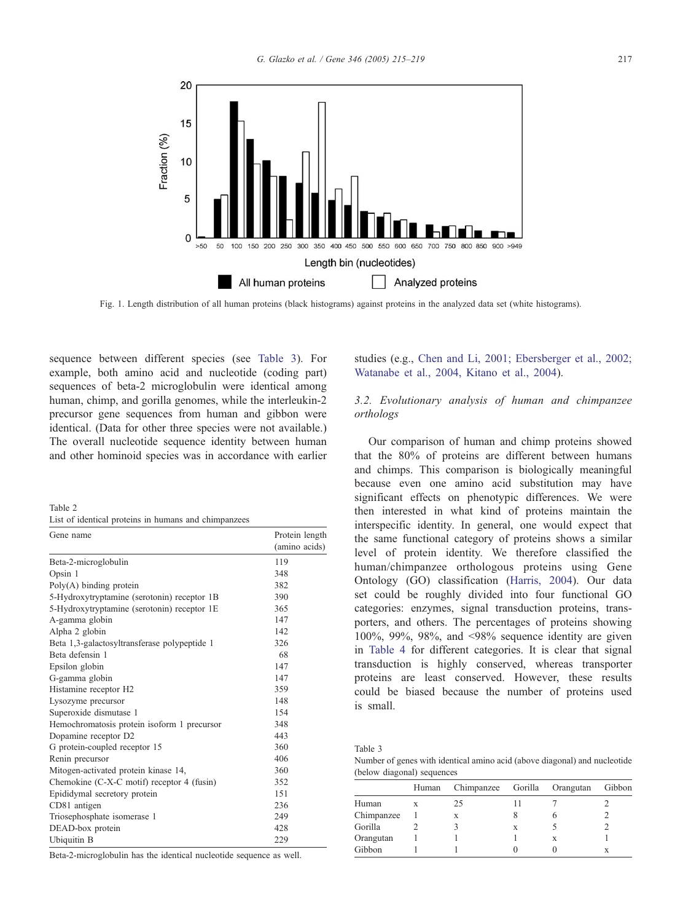<span id="page-2-0"></span>

Fig. 1. Length distribution of all human proteins (black histograms) against proteins in the analyzed data set (white histograms).

sequence between different species (see Table 3). For example, both amino acid and nucleotide (coding part) sequences of beta-2 microglobulin were identical among human, chimp, and gorilla genomes, while the interleukin-2 precursor gene sequences from human and gibbon were identical. (Data for other three species were not available.) The overall nucleotide sequence identity between human and other hominoid species was in accordance with earlier

Table 2 List of identical proteins in humans and chimpanzees

| Gene name                                    | Protein length |  |  |
|----------------------------------------------|----------------|--|--|
|                                              | (amino acids)  |  |  |
| Beta-2-microglobulin                         | 119            |  |  |
| Opsin 1                                      | 348            |  |  |
| $Poly(A)$ binding protein                    | 382            |  |  |
| 5-Hydroxytryptamine (serotonin) receptor 1B  | 390            |  |  |
| 5-Hydroxytryptamine (serotonin) receptor 1E  | 365            |  |  |
| A-gamma globin                               | 147            |  |  |
| Alpha 2 globin                               | 142            |  |  |
| Beta 1,3-galactosyltransferase polypeptide 1 | 326            |  |  |
| Beta defensin 1                              | 68             |  |  |
| Epsilon globin                               | 147            |  |  |
| G-gamma globin                               | 147            |  |  |
| Histamine receptor H2                        | 359            |  |  |
| Lysozyme precursor                           | 148            |  |  |
| Superoxide dismutase 1                       | 154            |  |  |
| Hemochromatosis protein isoform 1 precursor  | 348            |  |  |
| Dopamine receptor D2                         | 443            |  |  |
| G protein-coupled receptor 15                | 360            |  |  |
| Renin precursor                              | 406            |  |  |
| Mitogen-activated protein kinase 14,         | 360            |  |  |
| Chemokine (C-X-C motif) receptor 4 (fusin)   | 352            |  |  |
| Epididymal secretory protein                 | 151            |  |  |
| CD81 antigen                                 | 236            |  |  |
| Triosephosphate isomerase 1                  | 249            |  |  |
| DEAD-box protein                             | 428            |  |  |
| Ubiquitin B                                  | 229            |  |  |

Beta-2-microglobulin has the identical nucleotide sequence as well.

studies (e.g., [Chen and Li, 2001; Ebersberger et al., 2002;](#page-4-0) Watanabe et al., 2004, Kitano et al., 2004).

# 3.2. Evolutionary analysis of human and chimpanzee orthologs

Our comparison of human and chimp proteins showed that the 80% of proteins are different between humans and chimps. This comparison is biologically meaningful because even one amino acid substitution may have significant effects on phenotypic differences. We were then interested in what kind of proteins maintain the interspecific identity. In general, one would expect that the same functional category of proteins shows a similar level of protein identity. We therefore classified the human/chimpanzee orthologous proteins using Gene Ontology (GO) classification ([Harris, 2004\)](#page-4-0). Our data set could be roughly divided into four functional GO categories: enzymes, signal transduction proteins, transporters, and others. The percentages of proteins showing  $100\%$ , 99%, 98%, and  $\leq$ 98% sequence identity are given in [Table 4](#page-3-0) for different categories. It is clear that signal transduction is highly conserved, whereas transporter proteins are least conserved. However, these results could be biased because the number of proteins used is small.

Table 3 Number of genes with identical amino acid (above diagonal) and nucleotide (below diagonal) sequences

|            | Human | Chimpanzee Gorilla Orangutan |   | Gibbon |
|------------|-------|------------------------------|---|--------|
| Human      | X     | 25                           |   |        |
| Chimpanzee |       | X                            |   |        |
| Gorilla    |       |                              |   |        |
| Orangutan  |       |                              | x |        |
| Gibbon     |       |                              |   |        |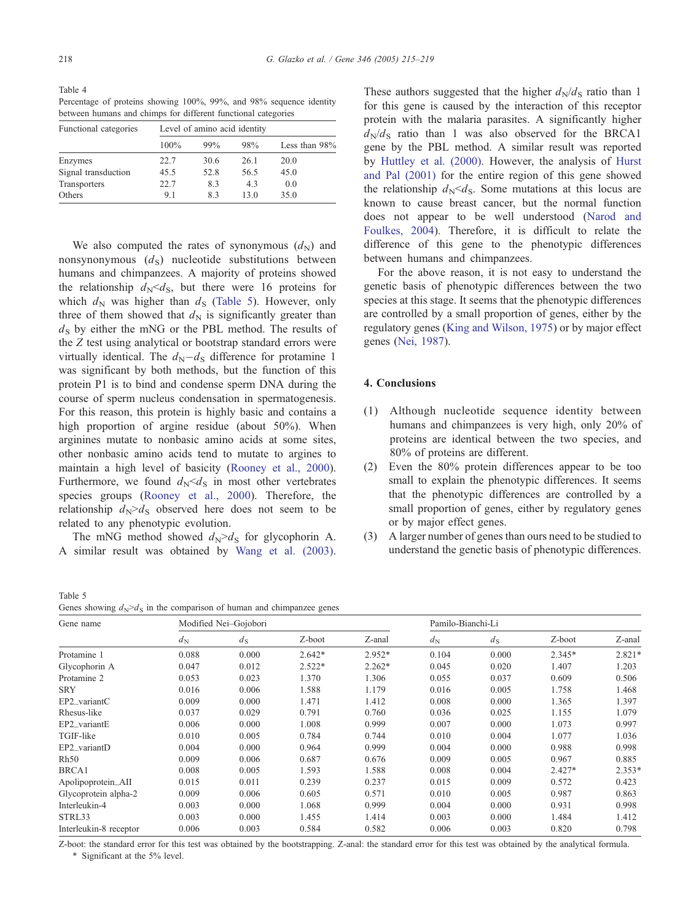<span id="page-3-0"></span>Table 4 Percentage of proteins showing 100%, 99%, and 98% sequence identity between humans and chimps for different functional categories

| Functional categories | Level of amino acid identity |      |      |               |  |
|-----------------------|------------------------------|------|------|---------------|--|
|                       | 100%                         | 99%  | 98%  | Less than 98% |  |
| Enzymes               | 22.7                         | 30.6 | 26.1 | 20.0          |  |
| Signal transduction   | 45.5                         | 52.8 | 56.5 | 45.0          |  |
| Transporters          | 22.7                         | 8.3  | 4.3  | 0.0           |  |
| Others                | 9.1                          | 83   | 13.0 | 35.0          |  |

We also computed the rates of synonymous  $(d_N)$  and nonsynonymous  $(d_s)$  nucleotide substitutions between humans and chimpanzees. A majority of proteins showed the relationship  $d_N < d_S$ , but there were 16 proteins for which  $d_N$  was higher than  $d_S$  (Table 5). However, only three of them showed that  $d_N$  is significantly greater than  $d_s$  by either the mNG or the PBL method. The results of the Z test using analytical or bootstrap standard errors were virtually identical. The  $d_N - d_S$  difference for protamine 1 was significant by both methods, but the function of this protein P1 is to bind and condense sperm DNA during the course of sperm nucleus condensation in spermatogenesis. For this reason, this protein is highly basic and contains a high proportion of argine residue (about 50%). When arginines mutate to nonbasic amino acids at some sites, other nonbasic amino acids tend to mutate to argines to maintain a high level of basicity ([Rooney et al., 2000\)](#page-4-0). Furthermore, we found  $d_N < d_S$  in most other vertebrates species groups ([Rooney et al., 2000\)](#page-4-0). Therefore, the relationship  $d_N > d_S$  observed here does not seem to be related to any phenotypic evolution.

The mNG method showed  $d_N > d_S$  for glycophorin A. A similar result was obtained by [Wang et al. \(2003\).](#page-4-0)

These authors suggested that the higher  $d_N/d_S$  ratio than 1 for this gene is caused by the interaction of this receptor protein with the malaria parasites. A significantly higher  $d_N/d_S$  ratio than 1 was also observed for the BRCA1 gene by the PBL method. A similar result was reported by [Huttley et al. \(2000\).](#page-4-0) However, the analysis of [Hurst](#page-4-0) and Pal (2001) for the entire region of this gene showed the relationship  $d_N < d_S$ . Some mutations at this locus are known to cause breast cancer, but the normal function does not appear to be well understood ([Narod and](#page-4-0) Foulkes, 2004). Therefore, it is difficult to relate the difference of this gene to the phenotypic differences between humans and chimpanzees.

For the above reason, it is not easy to understand the genetic basis of phenotypic differences between the two species at this stage. It seems that the phenotypic differences are controlled by a small proportion of genes, either by the regulatory genes ([King and Wilson, 1975\)](#page-4-0) or by major effect genes ([Nei, 1987\)](#page-4-0).

## 4. Conclusions

- (1) Although nucleotide sequence identity between humans and chimpanzees is very high, only 20% of proteins are identical between the two species, and 80% of proteins are different.
- (2) Even the 80% protein differences appear to be too small to explain the phenotypic differences. It seems that the phenotypic differences are controlled by a small proportion of genes, either by regulatory genes or by major effect genes.
- (3) A larger number of genes than ours need to be studied to understand the genetic basis of phenotypic differences.

Table 5

Genes showing  $d_N > d_S$  in the comparison of human and chimpanzee genes

| Gene name              |             | Modified Nei-Gojobori |          |          |             | Pamilo-Bianchi-Li |          |          |
|------------------------|-------------|-----------------------|----------|----------|-------------|-------------------|----------|----------|
|                        | $d_{\rm N}$ | $d_{\rm S}$           | Z-boot   | Z-anal   | $d_{\rm N}$ | $d_{\rm S}$       | Z-boot   | Z-anal   |
| Protamine 1            | 0.088       | 0.000                 | $2.642*$ | 2.952*   | 0.104       | 0.000             | 2.345*   | $2.821*$ |
| Glycophorin A          | 0.047       | 0.012                 | $2.522*$ | $2.262*$ | 0.045       | 0.020             | 1.407    | 1.203    |
| Protamine 2            | 0.053       | 0.023                 | 1.370    | 1.306    | 0.055       | 0.037             | 0.609    | 0.506    |
| <b>SRY</b>             | 0.016       | 0.006                 | 1.588    | 1.179    | 0.016       | 0.005             | 1.758    | 1.468    |
| EP2_variantC           | 0.009       | 0.000                 | 1.471    | 1.412    | 0.008       | 0.000             | 1.365    | 1.397    |
| Rhesus-like            | 0.037       | 0.029                 | 0.791    | 0.760    | 0.036       | 0.025             | 1.155    | 1.079    |
| EP2_variantE           | 0.006       | 0.000                 | 1.008    | 0.999    | 0.007       | 0.000             | 1.073    | 0.997    |
| TGIF-like              | 0.010       | 0.005                 | 0.784    | 0.744    | 0.010       | 0.004             | 1.077    | 1.036    |
| EP2_variantD           | 0.004       | 0.000                 | 0.964    | 0.999    | 0.004       | 0.000             | 0.988    | 0.998    |
| Rh50                   | 0.009       | 0.006                 | 0.687    | 0.676    | 0.009       | 0.005             | 0.967    | 0.885    |
| BRCA1                  | 0.008       | 0.005                 | 1.593    | 1.588    | 0.008       | 0.004             | $2.427*$ | $2.353*$ |
| Apolipoprotein_AII     | 0.015       | 0.011                 | 0.239    | 0.237    | 0.015       | 0.009             | 0.572    | 0.423    |
| Glycoprotein alpha-2   | 0.009       | 0.006                 | 0.605    | 0.571    | 0.010       | 0.005             | 0.987    | 0.863    |
| Interleukin-4          | 0.003       | 0.000                 | 1.068    | 0.999    | 0.004       | 0.000             | 0.931    | 0.998    |
| STRL33                 | 0.003       | 0.000                 | 1.455    | 1.414    | 0.003       | 0.000             | 1.484    | 1.412    |
| Interleukin-8 receptor | 0.006       | 0.003                 | 0.584    | 0.582    | 0.006       | 0.003             | 0.820    | 0.798    |

Z-boot: the standard error for this test was obtained by the bootstrapping. Z-anal: the standard error for this test was obtained by the analytical formula. \* Significant at the 5% level.